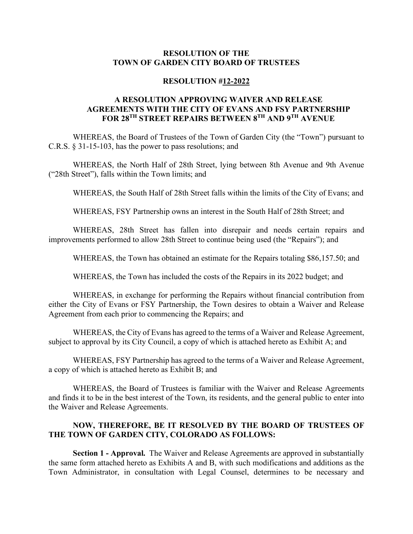## **RESOLUTION OF THE TOWN OF GARDEN CITY BOARD OF TRUSTEES**

## **RESOLUTION #12-2022**

## **A RESOLUTION APPROVING WAIVER AND RELEASE AGREEMENTS WITH THE CITY OF EVANS AND FSY PARTNERSHIP FOR 28TH STREET REPAIRS BETWEEN 8TH AND 9TH AVENUE**

WHEREAS, the Board of Trustees of the Town of Garden City (the "Town") pursuant to C.R.S. § 31-15-103, has the power to pass resolutions; and

WHEREAS, the North Half of 28th Street, lying between 8th Avenue and 9th Avenue ("28th Street"), falls within the Town limits; and

WHEREAS, the South Half of 28th Street falls within the limits of the City of Evans; and

WHEREAS, FSY Partnership owns an interest in the South Half of 28th Street; and

WHEREAS, 28th Street has fallen into disrepair and needs certain repairs and improvements performed to allow 28th Street to continue being used (the "Repairs"); and

WHEREAS, the Town has obtained an estimate for the Repairs totaling \$86,157.50; and

WHEREAS, the Town has included the costs of the Repairs in its 2022 budget; and

WHEREAS, in exchange for performing the Repairs without financial contribution from either the City of Evans or FSY Partnership, the Town desires to obtain a Waiver and Release Agreement from each prior to commencing the Repairs; and

WHEREAS, the City of Evans has agreed to the terms of a Waiver and Release Agreement, subject to approval by its City Council, a copy of which is attached hereto as Exhibit A; and

WHEREAS, FSY Partnership has agreed to the terms of a Waiver and Release Agreement, a copy of which is attached hereto as Exhibit B; and

WHEREAS, the Board of Trustees is familiar with the Waiver and Release Agreements and finds it to be in the best interest of the Town, its residents, and the general public to enter into the Waiver and Release Agreements.

## **NOW, THEREFORE, BE IT RESOLVED BY THE BOARD OF TRUSTEES OF THE TOWN OF GARDEN CITY, COLORADO AS FOLLOWS:**

**Section 1 - Approval.** The Waiver and Release Agreements are approved in substantially the same form attached hereto as Exhibits A and B, with such modifications and additions as the Town Administrator, in consultation with Legal Counsel, determines to be necessary and